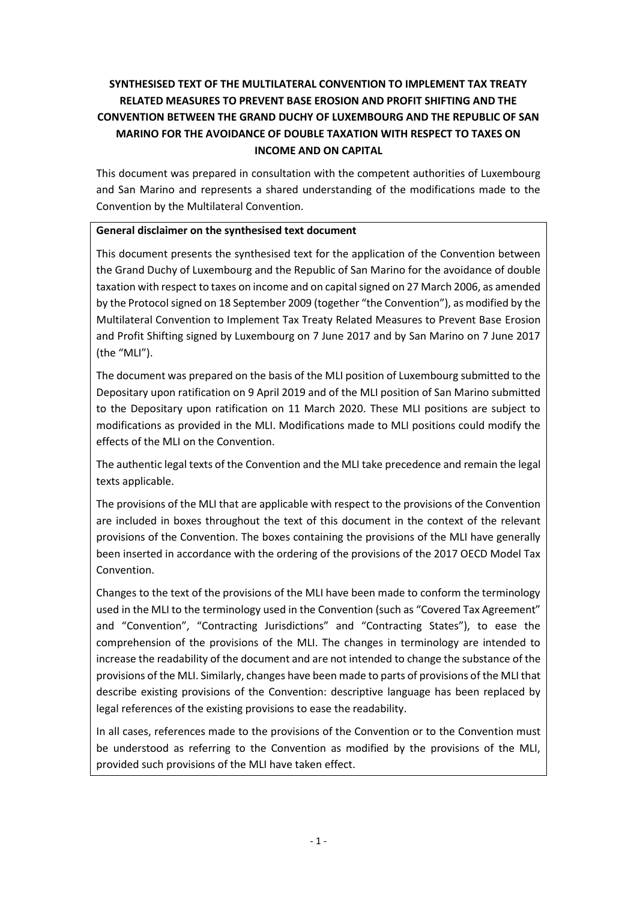# **SYNTHESISED TEXT OF THE MULTILATERAL CONVENTION TO IMPLEMENT TAX TREATY RELATED MEASURES TO PREVENT BASE EROSION AND PROFIT SHIFTING AND THE CONVENTION BETWEEN THE GRAND DUCHY OF LUXEMBOURG AND THE REPUBLIC OF SAN MARINO FOR THE AVOIDANCE OF DOUBLE TAXATION WITH RESPECT TO TAXES ON INCOME AND ON CAPITAL**

This document was prepared in consultation with the competent authorities of Luxembourg and San Marino and represents a shared understanding of the modifications made to the Convention by the Multilateral Convention.

## **General disclaimer on the synthesised text document**

This document presents the synthesised text for the application of the Convention between the Grand Duchy of Luxembourg and the Republic of San Marino for the avoidance of double taxation with respect to taxes on income and on capital signed on 27 March 2006, as amended by the Protocol signed on 18 September 2009 (together "the Convention"), as modified by the Multilateral Convention to Implement Tax Treaty Related Measures to Prevent Base Erosion and Profit Shifting signed by Luxembourg on 7 June 2017 and by San Marino on 7 June 2017 (the "MLI").

The document was prepared on the basis of the MLI position of Luxembourg submitted to the Depositary upon ratification on 9 April 2019 and of the MLI position of San Marino submitted to the Depositary upon ratification on 11 March 2020. These MLI positions are subject to modifications as provided in the MLI. Modifications made to MLI positions could modify the effects of the MLI on the Convention.

The authentic legal texts of the Convention and the MLI take precedence and remain the legal texts applicable.

The provisions of the MLI that are applicable with respect to the provisions of the Convention are included in boxes throughout the text of this document in the context of the relevant provisions of the Convention. The boxes containing the provisions of the MLI have generally been inserted in accordance with the ordering of the provisions of the 2017 OECD Model Tax Convention.

Changes to the text of the provisions of the MLI have been made to conform the terminology used in the MLI to the terminology used in the Convention (such as "Covered Tax Agreement" and "Convention", "Contracting Jurisdictions" and "Contracting States"), to ease the comprehension of the provisions of the MLI. The changes in terminology are intended to increase the readability of the document and are not intended to change the substance of the provisions of the MLI. Similarly, changes have been made to parts of provisions of the MLI that describe existing provisions of the Convention: descriptive language has been replaced by legal references of the existing provisions to ease the readability.

In all cases, references made to the provisions of the Convention or to the Convention must be understood as referring to the Convention as modified by the provisions of the MLI, provided such provisions of the MLI have taken effect.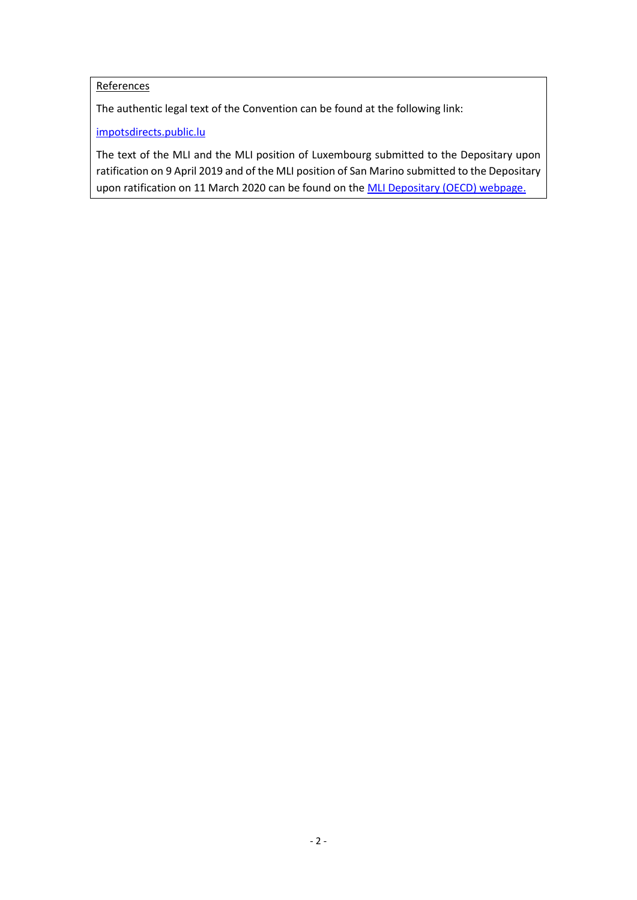## **References**

The authentic legal text of the Convention can be found at the following link:

[impotsdirects.public.lu](https://impotsdirects.public.lu/fr.html)

The text of the MLI and the MLI position of Luxembourg submitted to the Depositary upon ratification on 9 April 2019 and of the MLI position of San Marino submitted to the Depositary upon ratification on 11 March 2020 can be found on the [MLI Depositary \(OECD\) webpage.](https://www.oecd.org/tax/treaties/multilateral-convention-to-implement-tax-treaty-related-measures-to-prevent-beps.htm)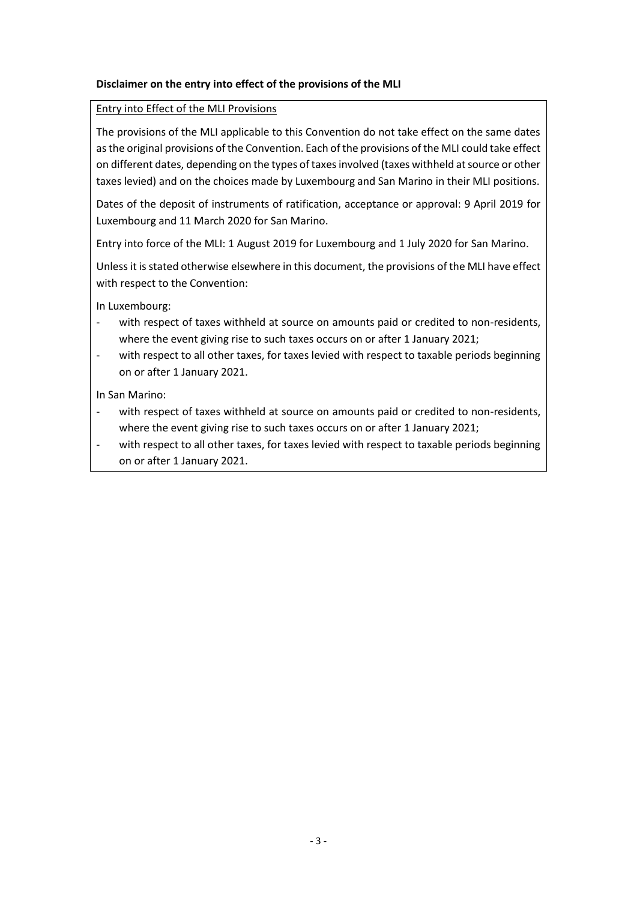## **Disclaimer on the entry into effect of the provisions of the MLI**

### Entry into Effect of the MLI Provisions

The provisions of the MLI applicable to this Convention do not take effect on the same dates as the original provisions of the Convention. Each of the provisions of the MLI could take effect on different dates, depending on the types of taxes involved (taxes withheld at source or other taxes levied) and on the choices made by Luxembourg and San Marino in their MLI positions.

Dates of the deposit of instruments of ratification, acceptance or approval: 9 April 2019 for Luxembourg and 11 March 2020 for San Marino.

Entry into force of the MLI: 1 August 2019 for Luxembourg and 1 July 2020 for San Marino.

Unless it is stated otherwise elsewhere in this document, the provisions of the MLI have effect with respect to the Convention:

In Luxembourg:

- with respect of taxes withheld at source on amounts paid or credited to non-residents, where the event giving rise to such taxes occurs on or after 1 January 2021;
- with respect to all other taxes, for taxes levied with respect to taxable periods beginning on or after 1 January 2021.

In San Marino:

- with respect of taxes withheld at source on amounts paid or credited to non-residents, where the event giving rise to such taxes occurs on or after 1 January 2021;
- with respect to all other taxes, for taxes levied with respect to taxable periods beginning on or after 1 January 2021.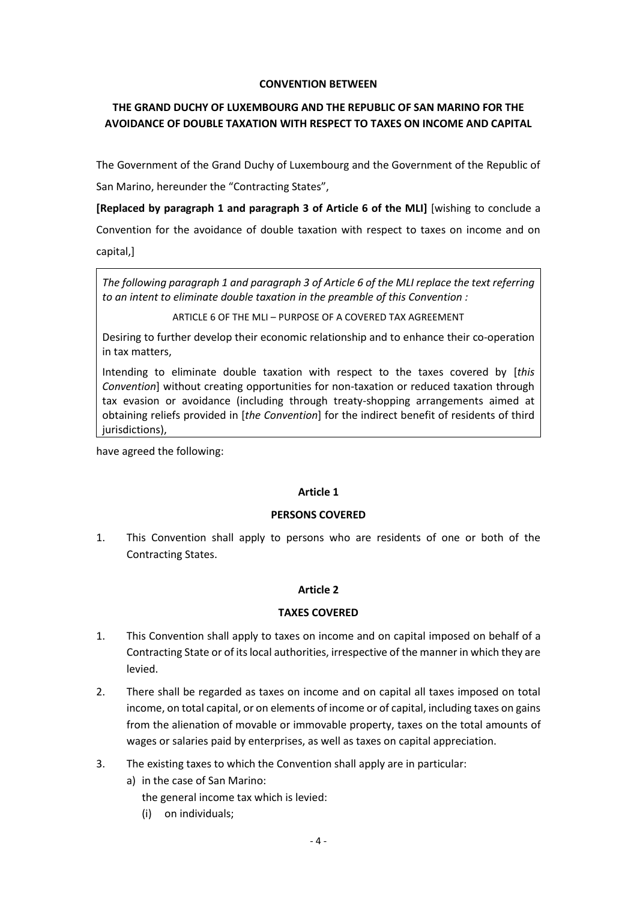### **CONVENTION BETWEEN**

# **THE GRAND DUCHY OF LUXEMBOURG AND THE REPUBLIC OF SAN MARINO FOR THE AVOIDANCE OF DOUBLE TAXATION WITH RESPECT TO TAXES ON INCOME AND CAPITAL**

The Government of the Grand Duchy of Luxembourg and the Government of the Republic of

San Marino, hereunder the "Contracting States",

**[Replaced by paragraph 1 and paragraph 3 of Article 6 of the MLI]** [wishing to conclude a

Convention for the avoidance of double taxation with respect to taxes on income and on

capital,]

*The following paragraph 1 and paragraph 3 of Article 6 of the MLI replace the text referring to an intent to eliminate double taxation in the preamble of this Convention :*

ARTICLE 6 OF THE MLI – PURPOSE OF A COVERED TAX AGREEMENT

Desiring to further develop their economic relationship and to enhance their co-operation in tax matters,

Intending to eliminate double taxation with respect to the taxes covered by [*this Convention*] without creating opportunities for non-taxation or reduced taxation through tax evasion or avoidance (including through treaty-shopping arrangements aimed at obtaining reliefs provided in [*the Convention*] for the indirect benefit of residents of third jurisdictions),

have agreed the following:

## **Article 1**

## **PERSONS COVERED**

1. This Convention shall apply to persons who are residents of one or both of the Contracting States.

## **Article 2**

## **TAXES COVERED**

- 1. This Convention shall apply to taxes on income and on capital imposed on behalf of a Contracting State or of itslocal authorities, irrespective of the manner in which they are levied.
- 2. There shall be regarded as taxes on income and on capital all taxes imposed on total income, on total capital, or on elements of income or of capital, including taxes on gains from the alienation of movable or immovable property, taxes on the total amounts of wages or salaries paid by enterprises, as well as taxes on capital appreciation.
- 3. The existing taxes to which the Convention shall apply are in particular:
	- a) in the case of San Marino:

the general income tax which is levied:

(i) on individuals;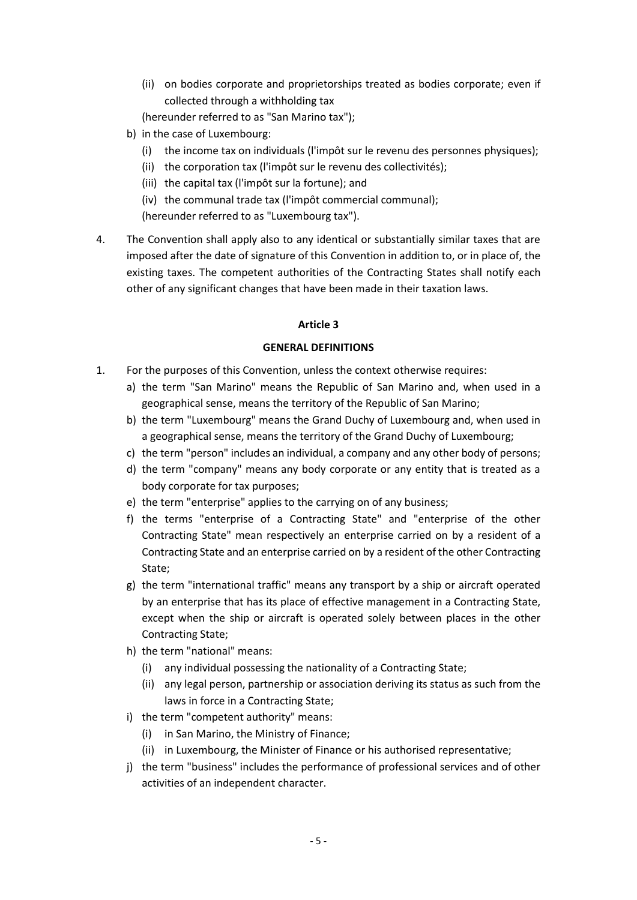- (ii) on bodies corporate and proprietorships treated as bodies corporate; even if collected through a withholding tax
- (hereunder referred to as "San Marino tax");
- b) in the case of Luxembourg:
	- (i) the income tax on individuals (l'impôt sur le revenu des personnes physiques);
	- (ii) the corporation tax (l'impôt sur le revenu des collectivités);
	- (iii) the capital tax (l'impôt sur la fortune); and

(iv) the communal trade tax (l'impôt commercial communal); (hereunder referred to as "Luxembourg tax").

4. The Convention shall apply also to any identical or substantially similar taxes that are imposed after the date of signature of this Convention in addition to, or in place of, the existing taxes. The competent authorities of the Contracting States shall notify each other of any significant changes that have been made in their taxation laws.

## **Article 3**

### **GENERAL DEFINITIONS**

- 1. For the purposes of this Convention, unless the context otherwise requires:
	- a) the term "San Marino" means the Republic of San Marino and, when used in a geographical sense, means the territory of the Republic of San Marino;
	- b) the term "Luxembourg" means the Grand Duchy of Luxembourg and, when used in a geographical sense, means the territory of the Grand Duchy of Luxembourg;
	- c) the term "person" includes an individual, a company and any other body of persons;
	- d) the term "company" means any body corporate or any entity that is treated as a body corporate for tax purposes;
	- e) the term "enterprise" applies to the carrying on of any business;
	- f) the terms "enterprise of a Contracting State" and "enterprise of the other Contracting State" mean respectively an enterprise carried on by a resident of a Contracting State and an enterprise carried on by a resident of the other Contracting State;
	- g) the term "international traffic" means any transport by a ship or aircraft operated by an enterprise that has its place of effective management in a Contracting State, except when the ship or aircraft is operated solely between places in the other Contracting State;
	- h) the term "national" means:
		- (i) any individual possessing the nationality of a Contracting State;
		- (ii) any legal person, partnership or association deriving its status as such from the laws in force in a Contracting State;
	- i) the term "competent authority" means:
		- (i) in San Marino, the Ministry of Finance;
		- (ii) in Luxembourg, the Minister of Finance or his authorised representative;
	- j) the term "business" includes the performance of professional services and of other activities of an independent character.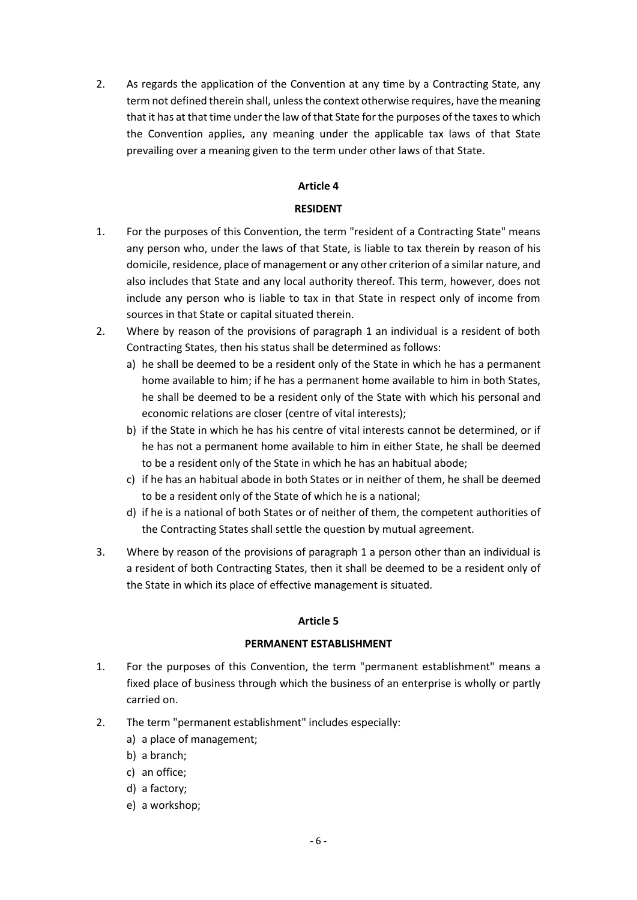2. As regards the application of the Convention at any time by a Contracting State, any term not defined therein shall, unless the context otherwise requires, have the meaning that it has at that time under the law of that State for the purposes of the taxes to which the Convention applies, any meaning under the applicable tax laws of that State prevailing over a meaning given to the term under other laws of that State.

### **Article 4**

### **RESIDENT**

- 1. For the purposes of this Convention, the term "resident of a Contracting State" means any person who, under the laws of that State, is liable to tax therein by reason of his domicile, residence, place of management or any other criterion of a similar nature, and also includes that State and any local authority thereof. This term, however, does not include any person who is liable to tax in that State in respect only of income from sources in that State or capital situated therein.
- 2. Where by reason of the provisions of paragraph 1 an individual is a resident of both Contracting States, then his status shall be determined as follows:
	- a) he shall be deemed to be a resident only of the State in which he has a permanent home available to him; if he has a permanent home available to him in both States, he shall be deemed to be a resident only of the State with which his personal and economic relations are closer (centre of vital interests);
	- b) if the State in which he has his centre of vital interests cannot be determined, or if he has not a permanent home available to him in either State, he shall be deemed to be a resident only of the State in which he has an habitual abode;
	- c) if he has an habitual abode in both States or in neither of them, he shall be deemed to be a resident only of the State of which he is a national;
	- d) if he is a national of both States or of neither of them, the competent authorities of the Contracting States shall settle the question by mutual agreement.
- 3. Where by reason of the provisions of paragraph 1 a person other than an individual is a resident of both Contracting States, then it shall be deemed to be a resident only of the State in which its place of effective management is situated.

## **Article 5**

## **PERMANENT ESTABLISHMENT**

- 1. For the purposes of this Convention, the term "permanent establishment" means a fixed place of business through which the business of an enterprise is wholly or partly carried on.
- 2. The term "permanent establishment" includes especially:
	- a) a place of management;
	- b) a branch;
	- c) an office;
	- d) a factory;
	- e) a workshop;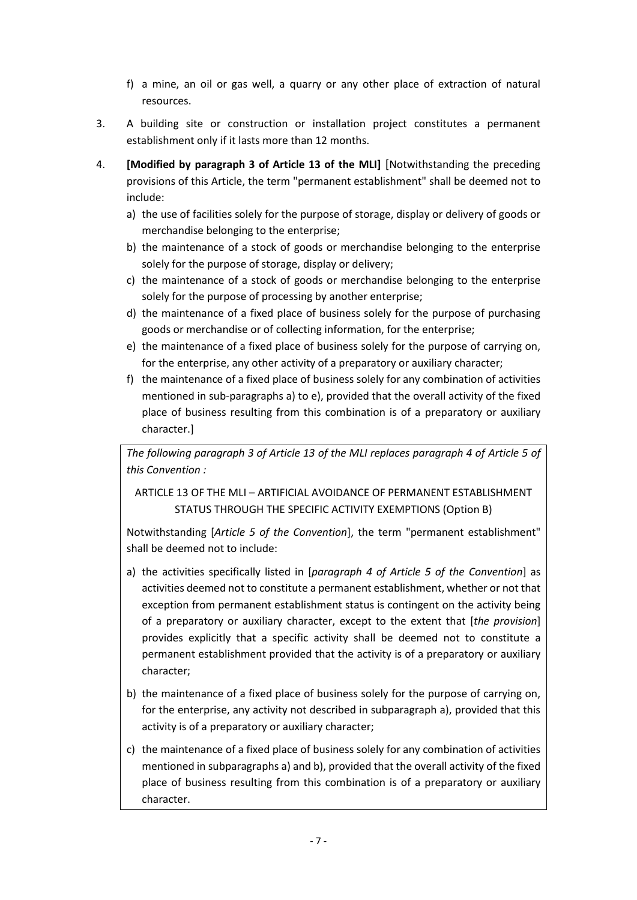- f) a mine, an oil or gas well, a quarry or any other place of extraction of natural resources.
- 3. A building site or construction or installation project constitutes a permanent establishment only if it lasts more than 12 months.
- 4. **[Modified by paragraph 3 of Article 13 of the MLI]** [Notwithstanding the preceding provisions of this Article, the term "permanent establishment" shall be deemed not to include:
	- a) the use of facilities solely for the purpose of storage, display or delivery of goods or merchandise belonging to the enterprise;
	- b) the maintenance of a stock of goods or merchandise belonging to the enterprise solely for the purpose of storage, display or delivery;
	- c) the maintenance of a stock of goods or merchandise belonging to the enterprise solely for the purpose of processing by another enterprise;
	- d) the maintenance of a fixed place of business solely for the purpose of purchasing goods or merchandise or of collecting information, for the enterprise;
	- e) the maintenance of a fixed place of business solely for the purpose of carrying on, for the enterprise, any other activity of a preparatory or auxiliary character;
	- f) the maintenance of a fixed place of business solely for any combination of activities mentioned in sub-paragraphs a) to e), provided that the overall activity of the fixed place of business resulting from this combination is of a preparatory or auxiliary character.]

*The following paragraph 3 of Article 13 of the MLI replaces paragraph 4 of Article 5 of this Convention :*

ARTICLE 13 OF THE MLI – ARTIFICIAL AVOIDANCE OF PERMANENT ESTABLISHMENT STATUS THROUGH THE SPECIFIC ACTIVITY EXEMPTIONS (Option B)

Notwithstanding [*Article 5 of the Convention*], the term "permanent establishment" shall be deemed not to include:

- a) the activities specifically listed in [*paragraph 4 of Article 5 of the Convention*] as activities deemed not to constitute a permanent establishment, whether or not that exception from permanent establishment status is contingent on the activity being of a preparatory or auxiliary character, except to the extent that [*the provision*] provides explicitly that a specific activity shall be deemed not to constitute a permanent establishment provided that the activity is of a preparatory or auxiliary character;
- b) the maintenance of a fixed place of business solely for the purpose of carrying on, for the enterprise, any activity not described in subparagraph a), provided that this activity is of a preparatory or auxiliary character;
- c) the maintenance of a fixed place of business solely for any combination of activities mentioned in subparagraphs a) and b), provided that the overall activity of the fixed place of business resulting from this combination is of a preparatory or auxiliary character.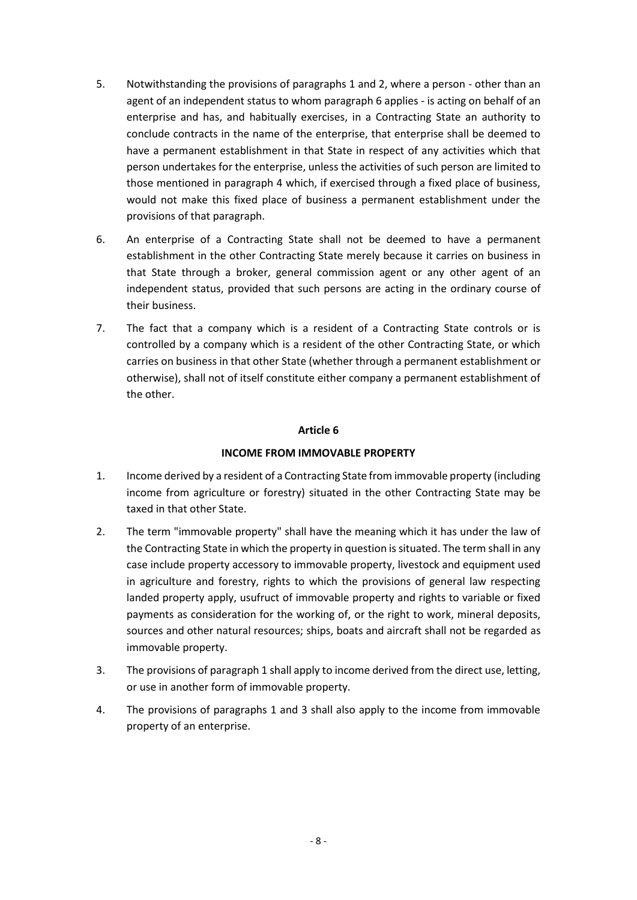- 5. Notwithstanding the provisions of paragraphs 1 and 2, where a person other than an agent of an independent status to whom paragraph 6 applies - is acting on behalf of an enterprise and has, and habitually exercises, in a Contracting State an authority to conclude contracts in the name of the enterprise, that enterprise shall be deemed to have a permanent establishment in that State in respect of any activities which that person undertakes for the enterprise, unless the activities of such person are limited to those mentioned in paragraph 4 which, if exercised through a fixed place of business, would not make this fixed place of business a permanent establishment under the provisions of that paragraph.
- 6. An enterprise of a Contracting State shall not be deemed to have a permanent establishment in the other Contracting State merely because it carries on business in that State through a broker, general commission agent or any other agent of an independent status, provided that such persons are acting in the ordinary course of their business.
- 7. The fact that a company which is a resident of a Contracting State controls or is controlled by a company which is a resident of the other Contracting State, or which carries on business in that other State (whether through a permanent establishment or otherwise), shall not of itself constitute either company a permanent establishment of the other.

## **INCOME FROM IMMOVABLE PROPERTY**

- 1. Income derived by a resident of a Contracting State from immovable property (including income from agriculture or forestry) situated in the other Contracting State may be taxed in that other State.
- 2. The term "immovable property" shall have the meaning which it has under the law of the Contracting State in which the property in question is situated. The term shall in any case include property accessory to immovable property, livestock and equipment used in agriculture and forestry, rights to which the provisions of general law respecting landed property apply, usufruct of immovable property and rights to variable or fixed payments as consideration for the working of, or the right to work, mineral deposits, sources and other natural resources; ships, boats and aircraft shall not be regarded as immovable property.
- 3. The provisions of paragraph 1 shall apply to income derived from the direct use, letting, or use in another form of immovable property.
- 4. The provisions of paragraphs 1 and 3 shall also apply to the income from immovable property of an enterprise.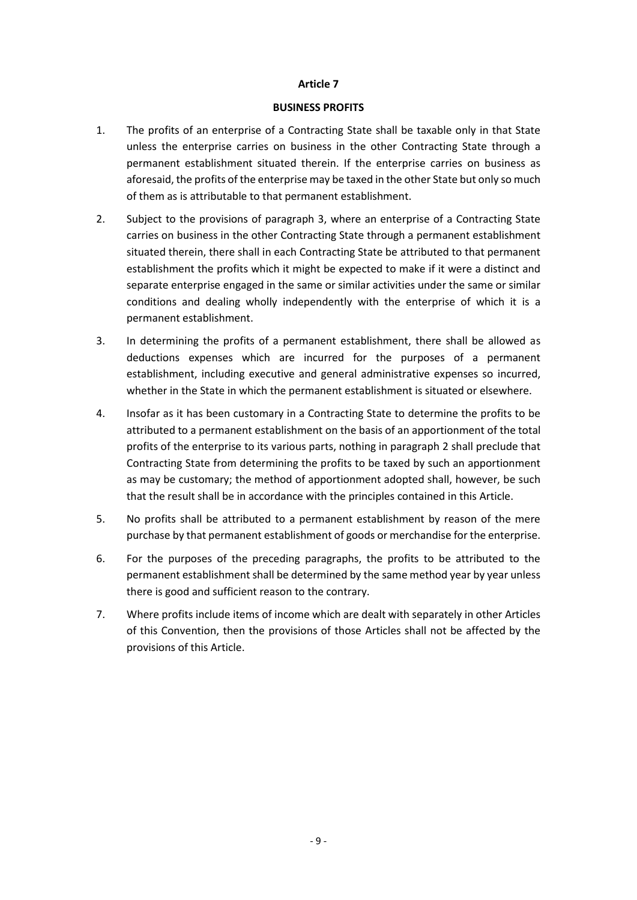#### **BUSINESS PROFITS**

- 1. The profits of an enterprise of a Contracting State shall be taxable only in that State unless the enterprise carries on business in the other Contracting State through a permanent establishment situated therein. If the enterprise carries on business as aforesaid, the profits of the enterprise may be taxed in the other State but only so much of them as is attributable to that permanent establishment.
- 2. Subject to the provisions of paragraph 3, where an enterprise of a Contracting State carries on business in the other Contracting State through a permanent establishment situated therein, there shall in each Contracting State be attributed to that permanent establishment the profits which it might be expected to make if it were a distinct and separate enterprise engaged in the same or similar activities under the same or similar conditions and dealing wholly independently with the enterprise of which it is a permanent establishment.
- 3. In determining the profits of a permanent establishment, there shall be allowed as deductions expenses which are incurred for the purposes of a permanent establishment, including executive and general administrative expenses so incurred, whether in the State in which the permanent establishment is situated or elsewhere.
- 4. Insofar as it has been customary in a Contracting State to determine the profits to be attributed to a permanent establishment on the basis of an apportionment of the total profits of the enterprise to its various parts, nothing in paragraph 2 shall preclude that Contracting State from determining the profits to be taxed by such an apportionment as may be customary; the method of apportionment adopted shall, however, be such that the result shall be in accordance with the principles contained in this Article.
- 5. No profits shall be attributed to a permanent establishment by reason of the mere purchase by that permanent establishment of goods or merchandise for the enterprise.
- 6. For the purposes of the preceding paragraphs, the profits to be attributed to the permanent establishment shall be determined by the same method year by year unless there is good and sufficient reason to the contrary.
- 7. Where profits include items of income which are dealt with separately in other Articles of this Convention, then the provisions of those Articles shall not be affected by the provisions of this Article.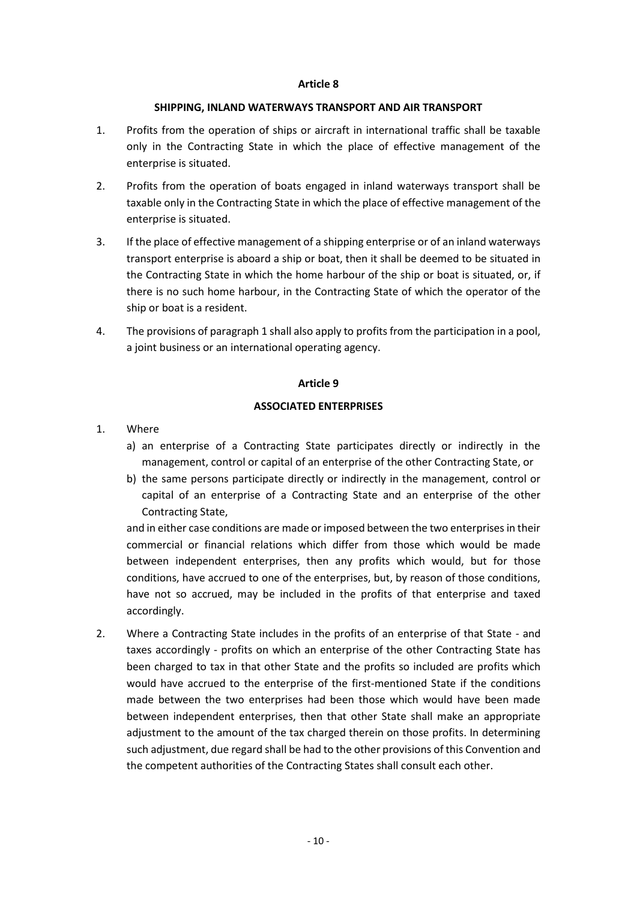### **SHIPPING, INLAND WATERWAYS TRANSPORT AND AIR TRANSPORT**

- 1. Profits from the operation of ships or aircraft in international traffic shall be taxable only in the Contracting State in which the place of effective management of the enterprise is situated.
- 2. Profits from the operation of boats engaged in inland waterways transport shall be taxable only in the Contracting State in which the place of effective management of the enterprise is situated.
- 3. If the place of effective management of a shipping enterprise or of an inland waterways transport enterprise is aboard a ship or boat, then it shall be deemed to be situated in the Contracting State in which the home harbour of the ship or boat is situated, or, if there is no such home harbour, in the Contracting State of which the operator of the ship or boat is a resident.
- 4. The provisions of paragraph 1 shall also apply to profits from the participation in a pool, a joint business or an international operating agency.

### **Article 9**

### **ASSOCIATED ENTERPRISES**

- 1. Where
	- a) an enterprise of a Contracting State participates directly or indirectly in the management, control or capital of an enterprise of the other Contracting State, or
	- b) the same persons participate directly or indirectly in the management, control or capital of an enterprise of a Contracting State and an enterprise of the other Contracting State,

and in either case conditions are made or imposed between the two enterprises in their commercial or financial relations which differ from those which would be made between independent enterprises, then any profits which would, but for those conditions, have accrued to one of the enterprises, but, by reason of those conditions, have not so accrued, may be included in the profits of that enterprise and taxed accordingly.

2. Where a Contracting State includes in the profits of an enterprise of that State - and taxes accordingly - profits on which an enterprise of the other Contracting State has been charged to tax in that other State and the profits so included are profits which would have accrued to the enterprise of the first-mentioned State if the conditions made between the two enterprises had been those which would have been made between independent enterprises, then that other State shall make an appropriate adjustment to the amount of the tax charged therein on those profits. In determining such adjustment, due regard shall be had to the other provisions of this Convention and the competent authorities of the Contracting States shall consult each other.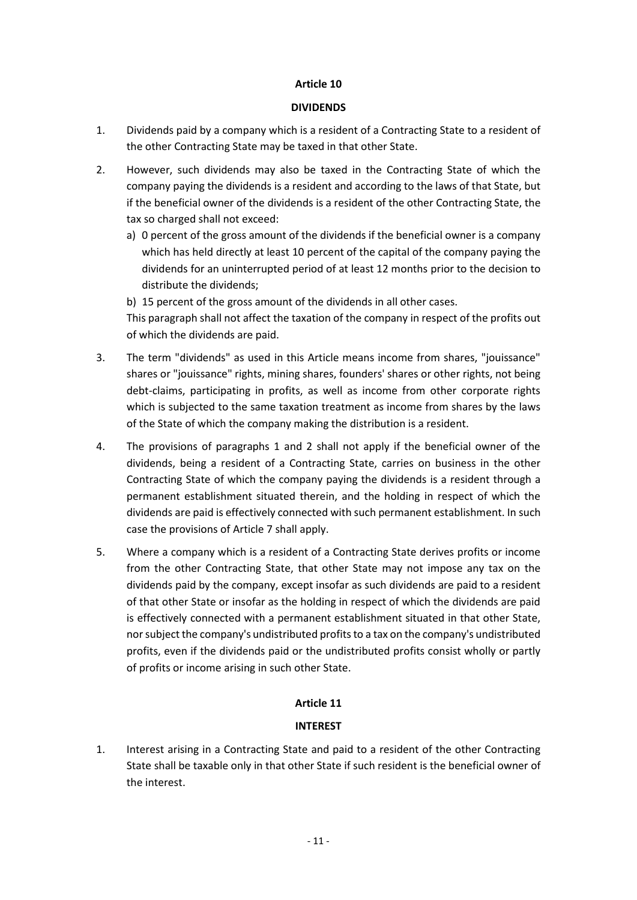### **DIVIDENDS**

- 1. Dividends paid by a company which is a resident of a Contracting State to a resident of the other Contracting State may be taxed in that other State.
- 2. However, such dividends may also be taxed in the Contracting State of which the company paying the dividends is a resident and according to the laws of that State, but if the beneficial owner of the dividends is a resident of the other Contracting State, the tax so charged shall not exceed:
	- a) 0 percent of the gross amount of the dividends if the beneficial owner is a company which has held directly at least 10 percent of the capital of the company paying the dividends for an uninterrupted period of at least 12 months prior to the decision to distribute the dividends;
	- b) 15 percent of the gross amount of the dividends in all other cases.

This paragraph shall not affect the taxation of the company in respect of the profits out of which the dividends are paid.

- 3. The term "dividends" as used in this Article means income from shares, "jouissance" shares or "jouissance" rights, mining shares, founders' shares or other rights, not being debt-claims, participating in profits, as well as income from other corporate rights which is subjected to the same taxation treatment as income from shares by the laws of the State of which the company making the distribution is a resident.
- 4. The provisions of paragraphs 1 and 2 shall not apply if the beneficial owner of the dividends, being a resident of a Contracting State, carries on business in the other Contracting State of which the company paying the dividends is a resident through a permanent establishment situated therein, and the holding in respect of which the dividends are paid is effectively connected with such permanent establishment. In such case the provisions of Article 7 shall apply.
- 5. Where a company which is a resident of a Contracting State derives profits or income from the other Contracting State, that other State may not impose any tax on the dividends paid by the company, except insofar as such dividends are paid to a resident of that other State or insofar as the holding in respect of which the dividends are paid is effectively connected with a permanent establishment situated in that other State, nor subject the company's undistributed profits to a tax on the company's undistributed profits, even if the dividends paid or the undistributed profits consist wholly or partly of profits or income arising in such other State.

## **Article 11**

## **INTEREST**

1. Interest arising in a Contracting State and paid to a resident of the other Contracting State shall be taxable only in that other State if such resident is the beneficial owner of the interest.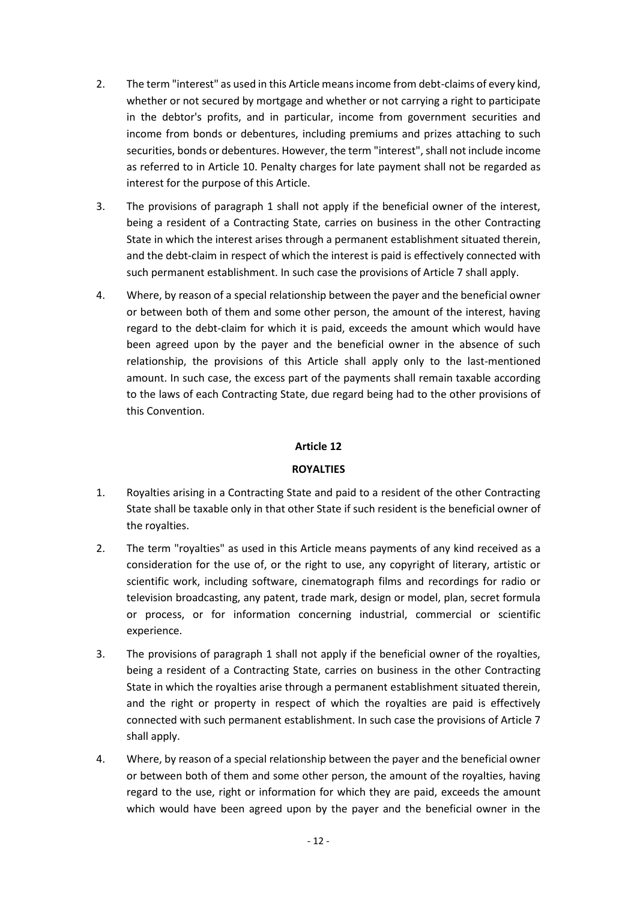- 2. The term "interest" as used in this Article means income from debt-claims of every kind, whether or not secured by mortgage and whether or not carrying a right to participate in the debtor's profits, and in particular, income from government securities and income from bonds or debentures, including premiums and prizes attaching to such securities, bonds or debentures. However, the term "interest", shall not include income as referred to in Article 10. Penalty charges for late payment shall not be regarded as interest for the purpose of this Article.
- 3. The provisions of paragraph 1 shall not apply if the beneficial owner of the interest, being a resident of a Contracting State, carries on business in the other Contracting State in which the interest arises through a permanent establishment situated therein, and the debt-claim in respect of which the interest is paid is effectively connected with such permanent establishment. In such case the provisions of Article 7 shall apply.
- 4. Where, by reason of a special relationship between the payer and the beneficial owner or between both of them and some other person, the amount of the interest, having regard to the debt-claim for which it is paid, exceeds the amount which would have been agreed upon by the payer and the beneficial owner in the absence of such relationship, the provisions of this Article shall apply only to the last-mentioned amount. In such case, the excess part of the payments shall remain taxable according to the laws of each Contracting State, due regard being had to the other provisions of this Convention.

#### **ROYALTIES**

- 1. Royalties arising in a Contracting State and paid to a resident of the other Contracting State shall be taxable only in that other State if such resident is the beneficial owner of the royalties.
- 2. The term "royalties" as used in this Article means payments of any kind received as a consideration for the use of, or the right to use, any copyright of literary, artistic or scientific work, including software, cinematograph films and recordings for radio or television broadcasting, any patent, trade mark, design or model, plan, secret formula or process, or for information concerning industrial, commercial or scientific experience.
- 3. The provisions of paragraph 1 shall not apply if the beneficial owner of the royalties, being a resident of a Contracting State, carries on business in the other Contracting State in which the royalties arise through a permanent establishment situated therein, and the right or property in respect of which the royalties are paid is effectively connected with such permanent establishment. In such case the provisions of Article 7 shall apply.
- 4. Where, by reason of a special relationship between the payer and the beneficial owner or between both of them and some other person, the amount of the royalties, having regard to the use, right or information for which they are paid, exceeds the amount which would have been agreed upon by the payer and the beneficial owner in the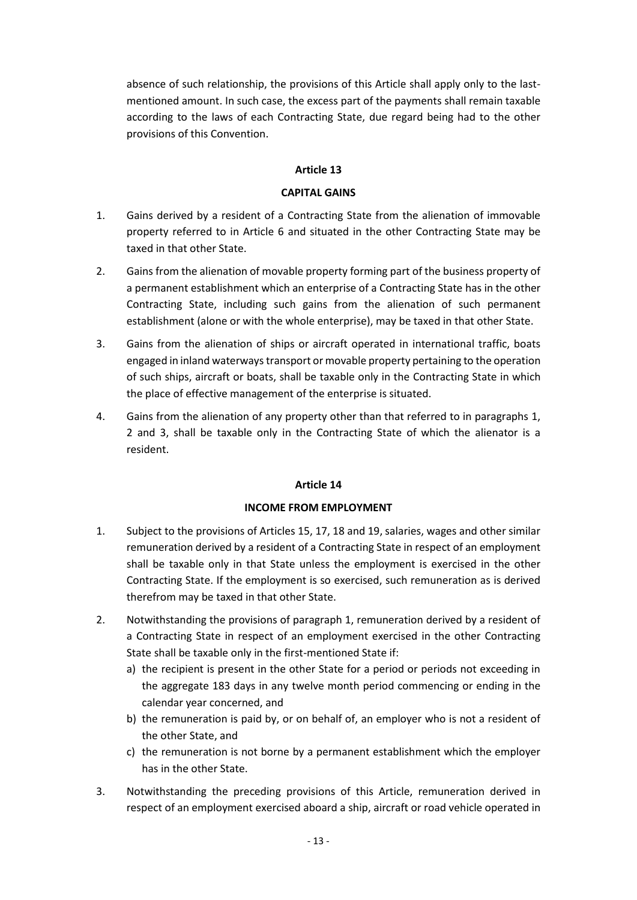absence of such relationship, the provisions of this Article shall apply only to the lastmentioned amount. In such case, the excess part of the payments shall remain taxable according to the laws of each Contracting State, due regard being had to the other provisions of this Convention.

### **Article 13**

### **CAPITAL GAINS**

- 1. Gains derived by a resident of a Contracting State from the alienation of immovable property referred to in Article 6 and situated in the other Contracting State may be taxed in that other State.
- 2. Gains from the alienation of movable property forming part of the business property of a permanent establishment which an enterprise of a Contracting State has in the other Contracting State, including such gains from the alienation of such permanent establishment (alone or with the whole enterprise), may be taxed in that other State.
- 3. Gains from the alienation of ships or aircraft operated in international traffic, boats engaged in inland waterwaystransport or movable property pertaining to the operation of such ships, aircraft or boats, shall be taxable only in the Contracting State in which the place of effective management of the enterprise is situated.
- 4. Gains from the alienation of any property other than that referred to in paragraphs 1, 2 and 3, shall be taxable only in the Contracting State of which the alienator is a resident.

#### **Article 14**

### **INCOME FROM EMPLOYMENT**

- 1. Subject to the provisions of Articles 15, 17, 18 and 19, salaries, wages and other similar remuneration derived by a resident of a Contracting State in respect of an employment shall be taxable only in that State unless the employment is exercised in the other Contracting State. If the employment is so exercised, such remuneration as is derived therefrom may be taxed in that other State.
- 2. Notwithstanding the provisions of paragraph 1, remuneration derived by a resident of a Contracting State in respect of an employment exercised in the other Contracting State shall be taxable only in the first-mentioned State if:
	- a) the recipient is present in the other State for a period or periods not exceeding in the aggregate 183 days in any twelve month period commencing or ending in the calendar year concerned, and
	- b) the remuneration is paid by, or on behalf of, an employer who is not a resident of the other State, and
	- c) the remuneration is not borne by a permanent establishment which the employer has in the other State.
- 3. Notwithstanding the preceding provisions of this Article, remuneration derived in respect of an employment exercised aboard a ship, aircraft or road vehicle operated in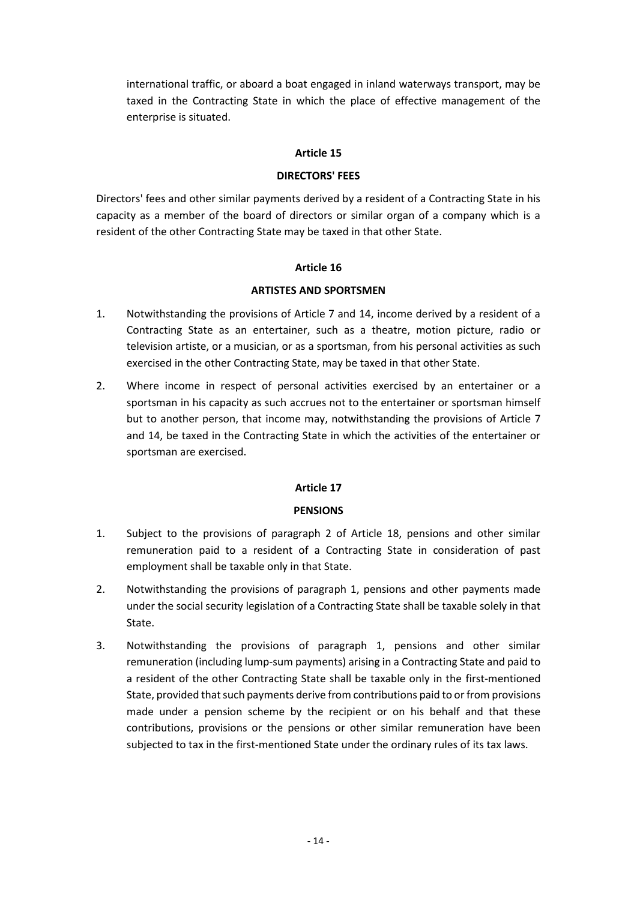international traffic, or aboard a boat engaged in inland waterways transport, may be taxed in the Contracting State in which the place of effective management of the enterprise is situated.

### **Article 15**

### **DIRECTORS' FEES**

Directors' fees and other similar payments derived by a resident of a Contracting State in his capacity as a member of the board of directors or similar organ of a company which is a resident of the other Contracting State may be taxed in that other State.

### **Article 16**

### **ARTISTES AND SPORTSMEN**

- 1. Notwithstanding the provisions of Article 7 and 14, income derived by a resident of a Contracting State as an entertainer, such as a theatre, motion picture, radio or television artiste, or a musician, or as a sportsman, from his personal activities as such exercised in the other Contracting State, may be taxed in that other State.
- 2. Where income in respect of personal activities exercised by an entertainer or a sportsman in his capacity as such accrues not to the entertainer or sportsman himself but to another person, that income may, notwithstanding the provisions of Article 7 and 14, be taxed in the Contracting State in which the activities of the entertainer or sportsman are exercised.

#### **Article 17**

## **PENSIONS**

- 1. Subject to the provisions of paragraph 2 of Article 18, pensions and other similar remuneration paid to a resident of a Contracting State in consideration of past employment shall be taxable only in that State.
- 2. Notwithstanding the provisions of paragraph 1, pensions and other payments made under the social security legislation of a Contracting State shall be taxable solely in that State.
- 3. Notwithstanding the provisions of paragraph 1, pensions and other similar remuneration (including lump-sum payments) arising in a Contracting State and paid to a resident of the other Contracting State shall be taxable only in the first-mentioned State, provided that such payments derive from contributions paid to or from provisions made under a pension scheme by the recipient or on his behalf and that these contributions, provisions or the pensions or other similar remuneration have been subjected to tax in the first-mentioned State under the ordinary rules of its tax laws.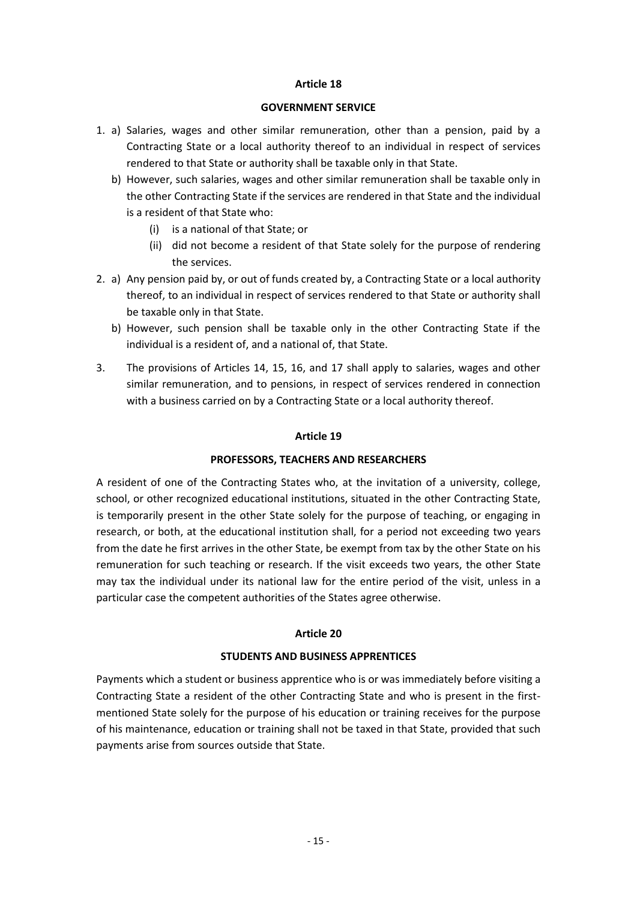#### **GOVERNMENT SERVICE**

- 1. a) Salaries, wages and other similar remuneration, other than a pension, paid by a Contracting State or a local authority thereof to an individual in respect of services rendered to that State or authority shall be taxable only in that State.
	- b) However, such salaries, wages and other similar remuneration shall be taxable only in the other Contracting State if the services are rendered in that State and the individual is a resident of that State who:
		- (i) is a national of that State; or
		- (ii) did not become a resident of that State solely for the purpose of rendering the services.
- 2. a) Any pension paid by, or out of funds created by, a Contracting State or a local authority thereof, to an individual in respect of services rendered to that State or authority shall be taxable only in that State.
	- b) However, such pension shall be taxable only in the other Contracting State if the individual is a resident of, and a national of, that State.
- 3. The provisions of Articles 14, 15, 16, and 17 shall apply to salaries, wages and other similar remuneration, and to pensions, in respect of services rendered in connection with a business carried on by a Contracting State or a local authority thereof.

### **Article 19**

## **PROFESSORS, TEACHERS AND RESEARCHERS**

A resident of one of the Contracting States who, at the invitation of a university, college, school, or other recognized educational institutions, situated in the other Contracting State, is temporarily present in the other State solely for the purpose of teaching, or engaging in research, or both, at the educational institution shall, for a period not exceeding two years from the date he first arrives in the other State, be exempt from tax by the other State on his remuneration for such teaching or research. If the visit exceeds two years, the other State may tax the individual under its national law for the entire period of the visit, unless in a particular case the competent authorities of the States agree otherwise.

#### **Article 20**

## **STUDENTS AND BUSINESS APPRENTICES**

Payments which a student or business apprentice who is or was immediately before visiting a Contracting State a resident of the other Contracting State and who is present in the firstmentioned State solely for the purpose of his education or training receives for the purpose of his maintenance, education or training shall not be taxed in that State, provided that such payments arise from sources outside that State.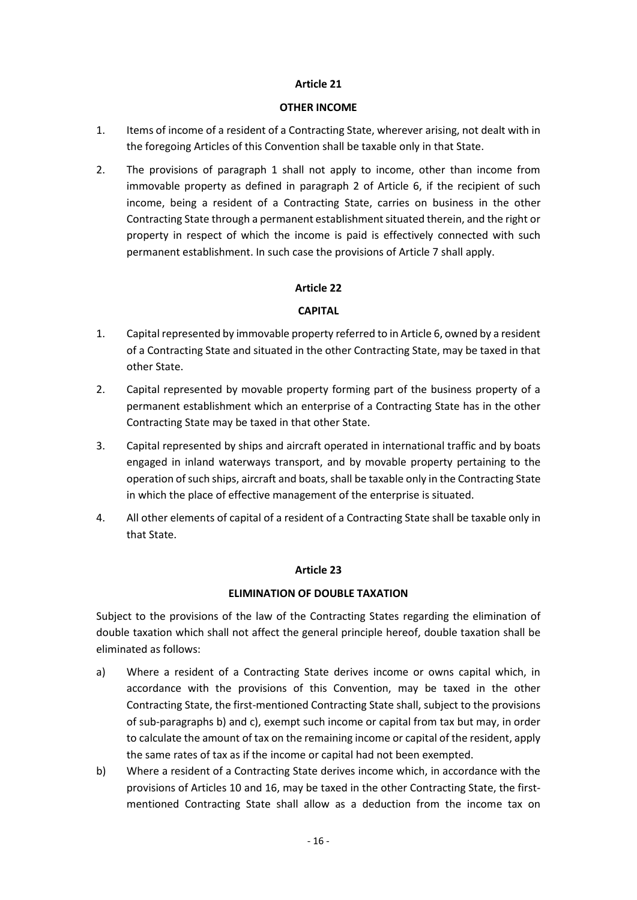### **OTHER INCOME**

- 1. Items of income of a resident of a Contracting State, wherever arising, not dealt with in the foregoing Articles of this Convention shall be taxable only in that State.
- 2. The provisions of paragraph 1 shall not apply to income, other than income from immovable property as defined in paragraph 2 of Article 6, if the recipient of such income, being a resident of a Contracting State, carries on business in the other Contracting State through a permanent establishment situated therein, and the right or property in respect of which the income is paid is effectively connected with such permanent establishment. In such case the provisions of Article 7 shall apply.

## **Article 22**

## **CAPITAL**

- 1. Capital represented by immovable property referred to in Article 6, owned by a resident of a Contracting State and situated in the other Contracting State, may be taxed in that other State.
- 2. Capital represented by movable property forming part of the business property of a permanent establishment which an enterprise of a Contracting State has in the other Contracting State may be taxed in that other State.
- 3. Capital represented by ships and aircraft operated in international traffic and by boats engaged in inland waterways transport, and by movable property pertaining to the operation of such ships, aircraft and boats, shall be taxable only in the Contracting State in which the place of effective management of the enterprise is situated.
- 4. All other elements of capital of a resident of a Contracting State shall be taxable only in that State.

## **Article 23**

## **ELIMINATION OF DOUBLE TAXATION**

Subject to the provisions of the law of the Contracting States regarding the elimination of double taxation which shall not affect the general principle hereof, double taxation shall be eliminated as follows:

- a) Where a resident of a Contracting State derives income or owns capital which, in accordance with the provisions of this Convention, may be taxed in the other Contracting State, the first-mentioned Contracting State shall, subject to the provisions of sub-paragraphs b) and c), exempt such income or capital from tax but may, in order to calculate the amount of tax on the remaining income or capital of the resident, apply the same rates of tax as if the income or capital had not been exempted.
- b) Where a resident of a Contracting State derives income which, in accordance with the provisions of Articles 10 and 16, may be taxed in the other Contracting State, the firstmentioned Contracting State shall allow as a deduction from the income tax on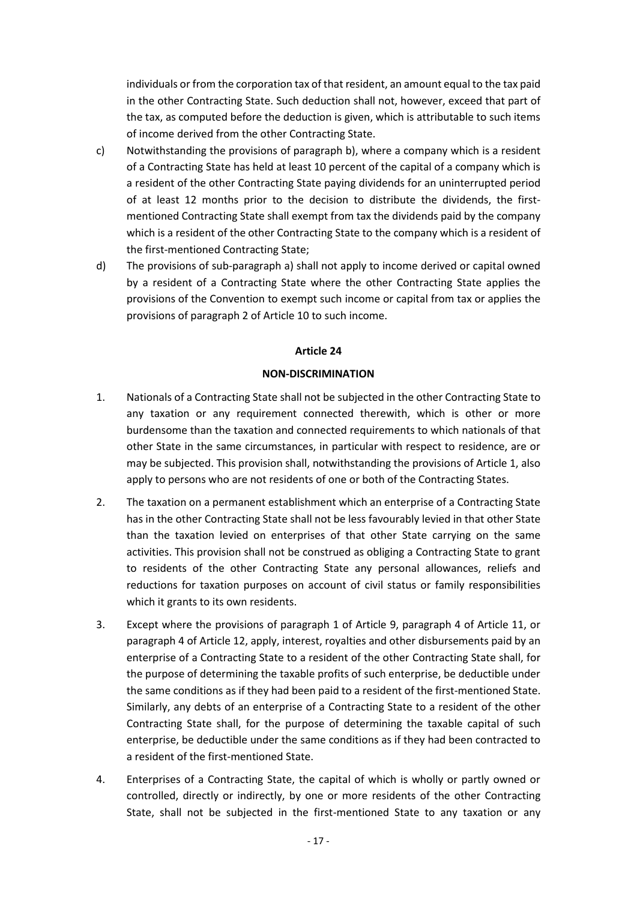individuals or from the corporation tax of that resident, an amount equal to the tax paid in the other Contracting State. Such deduction shall not, however, exceed that part of the tax, as computed before the deduction is given, which is attributable to such items of income derived from the other Contracting State.

- c) Notwithstanding the provisions of paragraph b), where a company which is a resident of a Contracting State has held at least 10 percent of the capital of a company which is a resident of the other Contracting State paying dividends for an uninterrupted period of at least 12 months prior to the decision to distribute the dividends, the firstmentioned Contracting State shall exempt from tax the dividends paid by the company which is a resident of the other Contracting State to the company which is a resident of the first-mentioned Contracting State;
- d) The provisions of sub-paragraph a) shall not apply to income derived or capital owned by a resident of a Contracting State where the other Contracting State applies the provisions of the Convention to exempt such income or capital from tax or applies the provisions of paragraph 2 of Article 10 to such income.

### **Article 24**

## **NON-DISCRIMINATION**

- 1. Nationals of a Contracting State shall not be subjected in the other Contracting State to any taxation or any requirement connected therewith, which is other or more burdensome than the taxation and connected requirements to which nationals of that other State in the same circumstances, in particular with respect to residence, are or may be subjected. This provision shall, notwithstanding the provisions of Article 1, also apply to persons who are not residents of one or both of the Contracting States.
- 2. The taxation on a permanent establishment which an enterprise of a Contracting State has in the other Contracting State shall not be less favourably levied in that other State than the taxation levied on enterprises of that other State carrying on the same activities. This provision shall not be construed as obliging a Contracting State to grant to residents of the other Contracting State any personal allowances, reliefs and reductions for taxation purposes on account of civil status or family responsibilities which it grants to its own residents.
- 3. Except where the provisions of paragraph 1 of Article 9, paragraph 4 of Article 11, or paragraph 4 of Article 12, apply, interest, royalties and other disbursements paid by an enterprise of a Contracting State to a resident of the other Contracting State shall, for the purpose of determining the taxable profits of such enterprise, be deductible under the same conditions as if they had been paid to a resident of the first-mentioned State. Similarly, any debts of an enterprise of a Contracting State to a resident of the other Contracting State shall, for the purpose of determining the taxable capital of such enterprise, be deductible under the same conditions as if they had been contracted to a resident of the first-mentioned State.
- 4. Enterprises of a Contracting State, the capital of which is wholly or partly owned or controlled, directly or indirectly, by one or more residents of the other Contracting State, shall not be subjected in the first-mentioned State to any taxation or any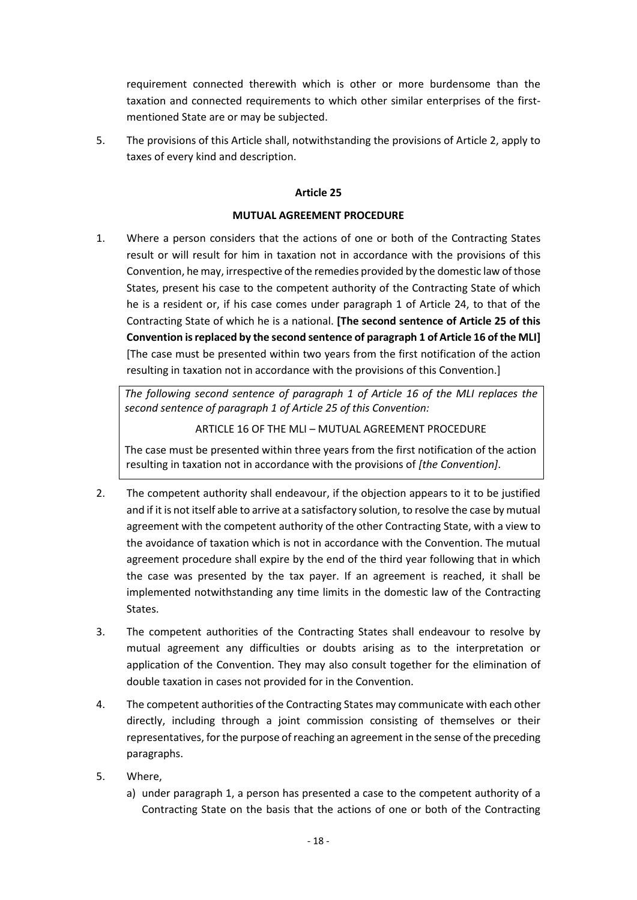requirement connected therewith which is other or more burdensome than the taxation and connected requirements to which other similar enterprises of the firstmentioned State are or may be subjected.

5. The provisions of this Article shall, notwithstanding the provisions of Article 2, apply to taxes of every kind and description.

## **Article 25**

### **MUTUAL AGREEMENT PROCEDURE**

1. Where a person considers that the actions of one or both of the Contracting States result or will result for him in taxation not in accordance with the provisions of this Convention, he may, irrespective of the remedies provided by the domestic law of those States, present his case to the competent authority of the Contracting State of which he is a resident or, if his case comes under paragraph 1 of Article 24, to that of the Contracting State of which he is a national. **[The second sentence of Article 25 of this Convention is replaced by the second sentence of paragraph 1 of Article 16 of the MLI]** [The case must be presented within two years from the first notification of the action resulting in taxation not in accordance with the provisions of this Convention.]

*The following second sentence of paragraph 1 of Article 16 of the MLI replaces the second sentence of paragraph 1 of Article 25 of this Convention:*

ARTICLE 16 OF THE MLI – MUTUAL AGREEMENT PROCEDURE

The case must be presented within three years from the first notification of the action resulting in taxation not in accordance with the provisions of *[the Convention]*.

- 2. The competent authority shall endeavour, if the objection appears to it to be justified and if it is not itself able to arrive at a satisfactory solution, to resolve the case by mutual agreement with the competent authority of the other Contracting State, with a view to the avoidance of taxation which is not in accordance with the Convention. The mutual agreement procedure shall expire by the end of the third year following that in which the case was presented by the tax payer. If an agreement is reached, it shall be implemented notwithstanding any time limits in the domestic law of the Contracting States.
- 3. The competent authorities of the Contracting States shall endeavour to resolve by mutual agreement any difficulties or doubts arising as to the interpretation or application of the Convention. They may also consult together for the elimination of double taxation in cases not provided for in the Convention.
- 4. The competent authorities of the Contracting States may communicate with each other directly, including through a joint commission consisting of themselves or their representatives, for the purpose of reaching an agreement in the sense of the preceding paragraphs.
- 5. Where,
	- a) under paragraph 1, a person has presented a case to the competent authority of a Contracting State on the basis that the actions of one or both of the Contracting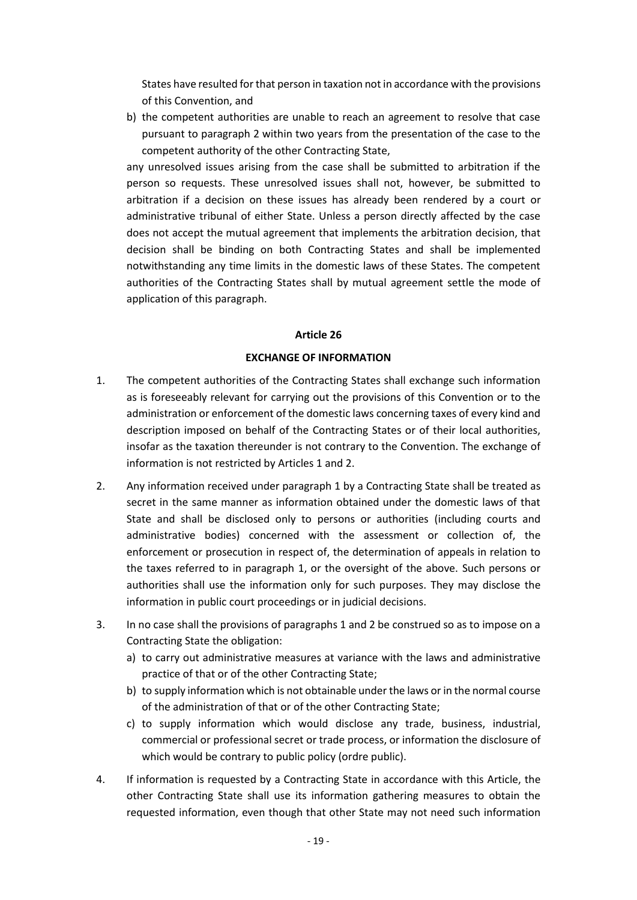States have resulted for that person in taxation not in accordance with the provisions of this Convention, and

b) the competent authorities are unable to reach an agreement to resolve that case pursuant to paragraph 2 within two years from the presentation of the case to the competent authority of the other Contracting State,

any unresolved issues arising from the case shall be submitted to arbitration if the person so requests. These unresolved issues shall not, however, be submitted to arbitration if a decision on these issues has already been rendered by a court or administrative tribunal of either State. Unless a person directly affected by the case does not accept the mutual agreement that implements the arbitration decision, that decision shall be binding on both Contracting States and shall be implemented notwithstanding any time limits in the domestic laws of these States. The competent authorities of the Contracting States shall by mutual agreement settle the mode of application of this paragraph.

#### **Article 26**

## **EXCHANGE OF INFORMATION**

- 1. The competent authorities of the Contracting States shall exchange such information as is foreseeably relevant for carrying out the provisions of this Convention or to the administration or enforcement of the domestic laws concerning taxes of every kind and description imposed on behalf of the Contracting States or of their local authorities, insofar as the taxation thereunder is not contrary to the Convention. The exchange of information is not restricted by Articles 1 and 2.
- 2. Any information received under paragraph 1 by a Contracting State shall be treated as secret in the same manner as information obtained under the domestic laws of that State and shall be disclosed only to persons or authorities (including courts and administrative bodies) concerned with the assessment or collection of, the enforcement or prosecution in respect of, the determination of appeals in relation to the taxes referred to in paragraph 1, or the oversight of the above. Such persons or authorities shall use the information only for such purposes. They may disclose the information in public court proceedings or in judicial decisions.
- 3. In no case shall the provisions of paragraphs 1 and 2 be construed so as to impose on a Contracting State the obligation:
	- a) to carry out administrative measures at variance with the laws and administrative practice of that or of the other Contracting State;
	- b) to supply information which is not obtainable under the laws or in the normal course of the administration of that or of the other Contracting State;
	- c) to supply information which would disclose any trade, business, industrial, commercial or professional secret or trade process, or information the disclosure of which would be contrary to public policy (ordre public).
- 4. If information is requested by a Contracting State in accordance with this Article, the other Contracting State shall use its information gathering measures to obtain the requested information, even though that other State may not need such information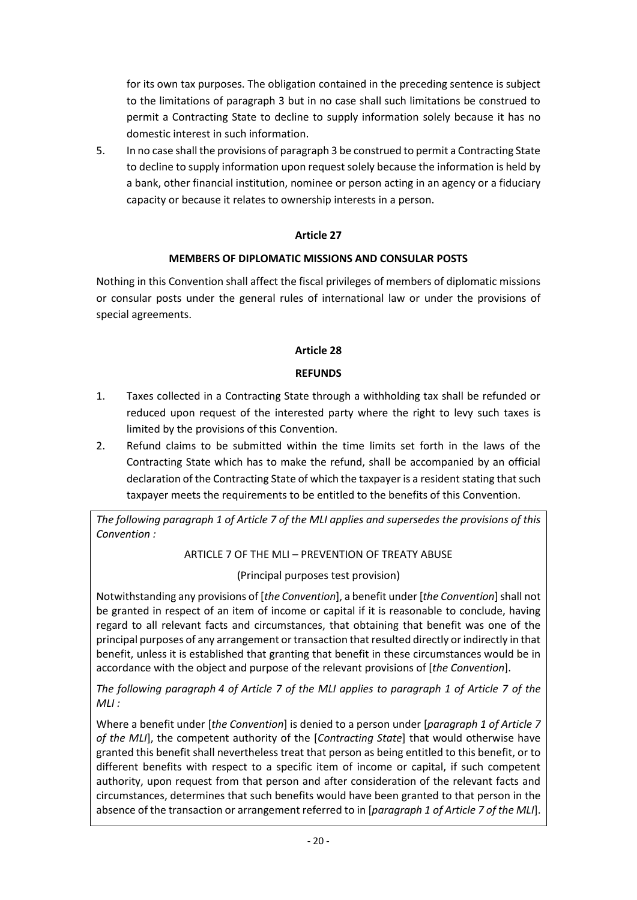for its own tax purposes. The obligation contained in the preceding sentence is subject to the limitations of paragraph 3 but in no case shall such limitations be construed to permit a Contracting State to decline to supply information solely because it has no domestic interest in such information.

5. In no case shall the provisions of paragraph 3 be construed to permit a Contracting State to decline to supply information upon request solely because the information is held by a bank, other financial institution, nominee or person acting in an agency or a fiduciary capacity or because it relates to ownership interests in a person.

# **Article 27**

## **MEMBERS OF DIPLOMATIC MISSIONS AND CONSULAR POSTS**

Nothing in this Convention shall affect the fiscal privileges of members of diplomatic missions or consular posts under the general rules of international law or under the provisions of special agreements.

## **Article 28**

## **REFUNDS**

- 1. Taxes collected in a Contracting State through a withholding tax shall be refunded or reduced upon request of the interested party where the right to levy such taxes is limited by the provisions of this Convention.
- 2. Refund claims to be submitted within the time limits set forth in the laws of the Contracting State which has to make the refund, shall be accompanied by an official declaration of the Contracting State of which the taxpayer is a resident stating that such taxpayer meets the requirements to be entitled to the benefits of this Convention.

*The following paragraph 1 of Article 7 of the MLI applies and supersedes the provisions of this Convention :*

# ARTICLE 7 OF THE MLI – PREVENTION OF TREATY ABUSE

## (Principal purposes test provision)

Notwithstanding any provisions of [*the Convention*], a benefit under [*the Convention*] shall not be granted in respect of an item of income or capital if it is reasonable to conclude, having regard to all relevant facts and circumstances, that obtaining that benefit was one of the principal purposes of any arrangement or transaction that resulted directly or indirectly in that benefit, unless it is established that granting that benefit in these circumstances would be in accordance with the object and purpose of the relevant provisions of [*the Convention*].

*The following paragraph 4 of Article 7 of the MLI applies to paragraph 1 of Article 7 of the MLI :*

Where a benefit under [*the Convention*] is denied to a person under [*paragraph 1 of Article 7 of the MLI*], the competent authority of the [*Contracting State*] that would otherwise have granted this benefit shall nevertheless treat that person as being entitled to this benefit, or to different benefits with respect to a specific item of income or capital, if such competent authority, upon request from that person and after consideration of the relevant facts and circumstances, determines that such benefits would have been granted to that person in the absence of the transaction or arrangement referred to in [*paragraph 1 of Article 7 of the MLI*].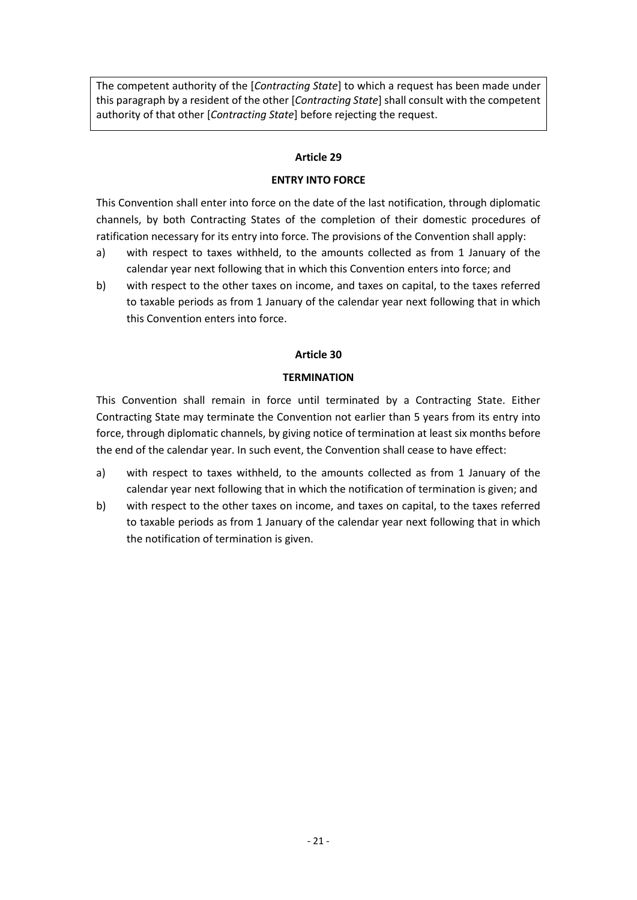The competent authority of the [*Contracting State*] to which a request has been made under this paragraph by a resident of the other [*Contracting State*] shall consult with the competent authority of that other [*Contracting State*] before rejecting the request.

### **Article 29**

### **ENTRY INTO FORCE**

This Convention shall enter into force on the date of the last notification, through diplomatic channels, by both Contracting States of the completion of their domestic procedures of ratification necessary for its entry into force. The provisions of the Convention shall apply:

- a) with respect to taxes withheld, to the amounts collected as from 1 January of the calendar year next following that in which this Convention enters into force; and
- b) with respect to the other taxes on income, and taxes on capital, to the taxes referred to taxable periods as from 1 January of the calendar year next following that in which this Convention enters into force.

## **Article 30**

## **TERMINATION**

This Convention shall remain in force until terminated by a Contracting State. Either Contracting State may terminate the Convention not earlier than 5 years from its entry into force, through diplomatic channels, by giving notice of termination at least six months before the end of the calendar year. In such event, the Convention shall cease to have effect:

- a) with respect to taxes withheld, to the amounts collected as from 1 January of the calendar year next following that in which the notification of termination is given; and
- b) with respect to the other taxes on income, and taxes on capital, to the taxes referred to taxable periods as from 1 January of the calendar year next following that in which the notification of termination is given.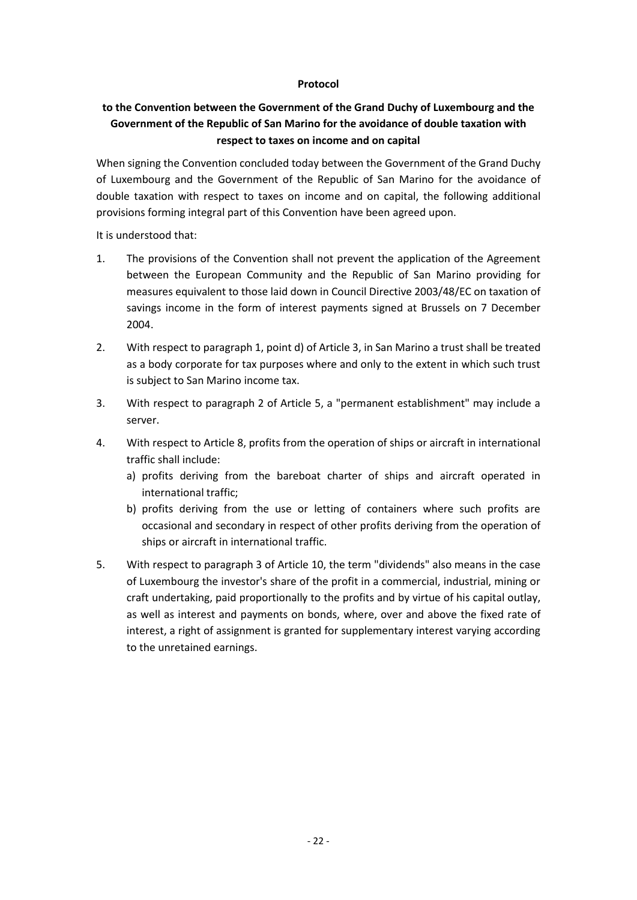### **Protocol**

# **to the Convention between the Government of the Grand Duchy of Luxembourg and the Government of the Republic of San Marino for the avoidance of double taxation with respect to taxes on income and on capital**

When signing the Convention concluded today between the Government of the Grand Duchy of Luxembourg and the Government of the Republic of San Marino for the avoidance of double taxation with respect to taxes on income and on capital, the following additional provisions forming integral part of this Convention have been agreed upon.

It is understood that:

- 1. The provisions of the Convention shall not prevent the application of the Agreement between the European Community and the Republic of San Marino providing for measures equivalent to those laid down in Council Directive 2003/48/EC on taxation of savings income in the form of interest payments signed at Brussels on 7 December 2004.
- 2. With respect to paragraph 1, point d) of Article 3, in San Marino a trust shall be treated as a body corporate for tax purposes where and only to the extent in which such trust is subject to San Marino income tax.
- 3. With respect to paragraph 2 of Article 5, a "permanent establishment" may include a server.
- 4. With respect to Article 8, profits from the operation of ships or aircraft in international traffic shall include:
	- a) profits deriving from the bareboat charter of ships and aircraft operated in international traffic;
	- b) profits deriving from the use or letting of containers where such profits are occasional and secondary in respect of other profits deriving from the operation of ships or aircraft in international traffic.
- 5. With respect to paragraph 3 of Article 10, the term "dividends" also means in the case of Luxembourg the investor's share of the profit in a commercial, industrial, mining or craft undertaking, paid proportionally to the profits and by virtue of his capital outlay, as well as interest and payments on bonds, where, over and above the fixed rate of interest, a right of assignment is granted for supplementary interest varying according to the unretained earnings.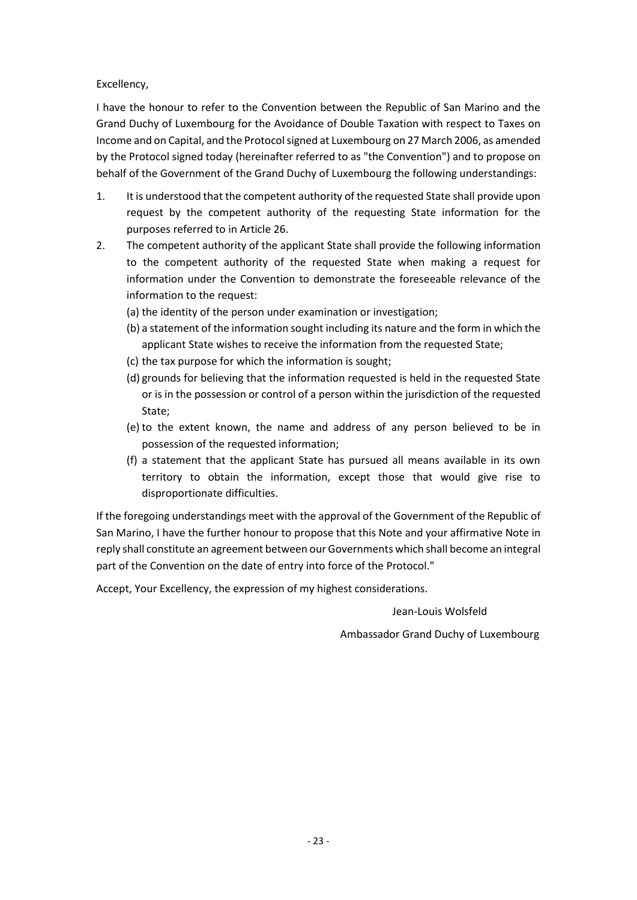## Excellency,

I have the honour to refer to the Convention between the Republic of San Marino and the Grand Duchy of Luxembourg for the Avoidance of Double Taxation with respect to Taxes on Income and on Capital, and the Protocol signed at Luxembourg on 27 March 2006, as amended by the Protocol signed today (hereinafter referred to as "the Convention") and to propose on behalf of the Government of the Grand Duchy of Luxembourg the following understandings:

- 1. It is understood that the competent authority of the requested State shall provide upon request by the competent authority of the requesting State information for the purposes referred to in Article 26.
- 2. The competent authority of the applicant State shall provide the following information to the competent authority of the requested State when making a request for information under the Convention to demonstrate the foreseeable relevance of the information to the request:
	- (a) the identity of the person under examination or investigation;
	- (b) a statement of the information sought including its nature and the form in which the applicant State wishes to receive the information from the requested State;
	- (c) the tax purpose for which the information is sought;
	- (d) grounds for believing that the information requested is held in the requested State or is in the possession or control of a person within the jurisdiction of the requested State;
	- (e) to the extent known, the name and address of any person believed to be in possession of the requested information;
	- (f) a statement that the applicant State has pursued all means available in its own territory to obtain the information, except those that would give rise to disproportionate difficulties.

If the foregoing understandings meet with the approval of the Government of the Republic of San Marino, I have the further honour to propose that this Note and your affirmative Note in reply shall constitute an agreement between our Governments which shall become an integral part of the Convention on the date of entry into force of the Protocol."

Accept, Your Excellency, the expression of my highest considerations.

Jean-Louis Wolsfeld

Ambassador Grand Duchy of Luxembourg